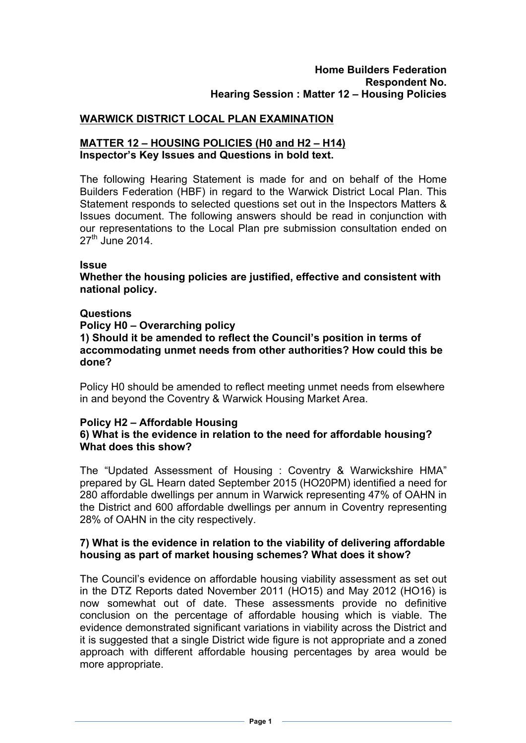# **WARWICK DISTRICT LOCAL PLAN EXAMINATION**

#### **MATTER 12 – HOUSING POLICIES (H0 and H2 – H14) Inspector's Key Issues and Questions in bold text.**

The following Hearing Statement is made for and on behalf of the Home Builders Federation (HBF) in regard to the Warwick District Local Plan. This Statement responds to selected questions set out in the Inspectors Matters & Issues document. The following answers should be read in conjunction with our representations to the Local Plan pre submission consultation ended on  $27<sup>th</sup>$  June 2014.

#### **Issue**

**Whether the housing policies are justified, effective and consistent with national policy.** 

#### **Questions**

**Policy H0 – Overarching policy 1) Should it be amended to reflect the Council's position in terms of accommodating unmet needs from other authorities? How could this be done?**

Policy H0 should be amended to reflect meeting unmet needs from elsewhere in and beyond the Coventry & Warwick Housing Market Area.

#### **Policy H2 – Affordable Housing 6) What is the evidence in relation to the need for affordable housing? What does this show?**

The "Updated Assessment of Housing : Coventry & Warwickshire HMA" prepared by GL Hearn dated September 2015 (HO20PM) identified a need for 280 affordable dwellings per annum in Warwick representing 47% of OAHN in the District and 600 affordable dwellings per annum in Coventry representing 28% of OAHN in the city respectively.

## **7) What is the evidence in relation to the viability of delivering affordable housing as part of market housing schemes? What does it show?**

The Council's evidence on affordable housing viability assessment as set out in the DTZ Reports dated November 2011 (HO15) and May 2012 (HO16) is now somewhat out of date. These assessments provide no definitive conclusion on the percentage of affordable housing which is viable. The evidence demonstrated significant variations in viability across the District and it is suggested that a single District wide figure is not appropriate and a zoned approach with different affordable housing percentages by area would be more appropriate.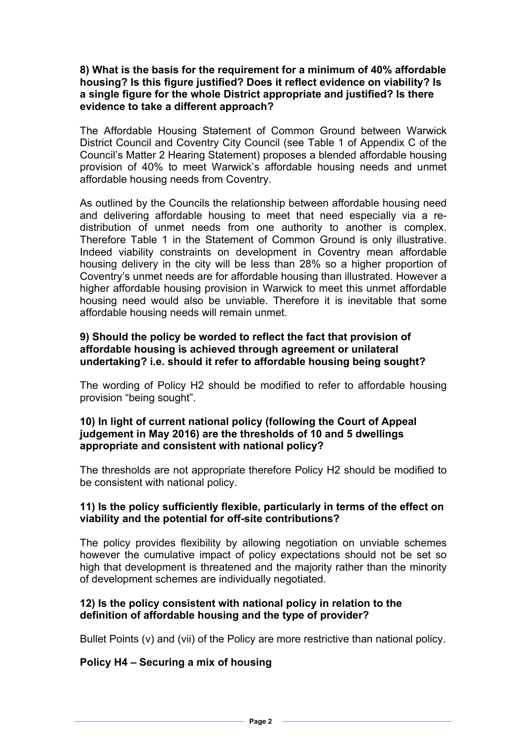#### **8) What is the basis for the requirement for a minimum of 40% affordable housing? Is this figure justified? Does it reflect evidence on viability? Is a single figure for the whole District appropriate and justified? Is there evidence to take a different approach?**

The Affordable Housing Statement of Common Ground between Warwick District Council and Coventry City Council (see Table 1 of Appendix C of the Council's Matter 2 Hearing Statement) proposes a blended affordable housing provision of 40% to meet Warwick's affordable housing needs and unmet affordable housing needs from Coventry.

As outlined by the Councils the relationship between affordable housing need and delivering affordable housing to meet that need especially via a redistribution of unmet needs from one authority to another is complex. Therefore Table 1 in the Statement of Common Ground is only illustrative. Indeed viability constraints on development in Coventry mean affordable housing delivery in the city will be less than 28% so a higher proportion of Coventry's unmet needs are for affordable housing than illustrated. However a higher affordable housing provision in Warwick to meet this unmet affordable housing need would also be unviable. Therefore it is inevitable that some affordable housing needs will remain unmet.

## **9) Should the policy be worded to reflect the fact that provision of affordable housing is achieved through agreement or unilateral undertaking? i.e. should it refer to affordable housing being sought?**

The wording of Policy H2 should be modified to refer to affordable housing provision "being sought".

# **10) In light of current national policy (following the Court of Appeal judgement in May 2016) are the thresholds of 10 and 5 dwellings appropriate and consistent with national policy?**

The thresholds are not appropriate therefore Policy H2 should be modified to be consistent with national policy.

# **11) Is the policy sufficiently flexible, particularly in terms of the effect on viability and the potential for off-site contributions?**

The policy provides flexibility by allowing negotiation on unviable schemes however the cumulative impact of policy expectations should not be set so high that development is threatened and the majority rather than the minority of development schemes are individually negotiated.

# **12) Is the policy consistent with national policy in relation to the definition of affordable housing and the type of provider?**

Bullet Points (v) and (vii) of the Policy are more restrictive than national policy.

# **Policy H4 – Securing a mix of housing**